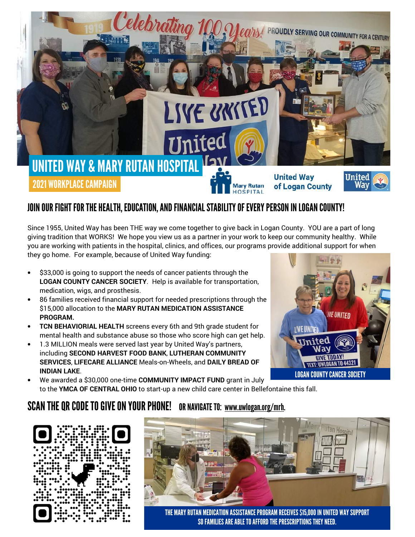

## JOIN OUR FIGHT FOR THE HEALTH, EDUCATION, AND FINANCIAL STABILITY OF EVERY PERSON IN LOGAN COUNTY!

Since 1955, United Way has been THE way we come together to give back in Logan County. YOU are a part of long giving tradition that WORKS! We hope you view us as a partner in your work to keep our community healthy. While you are working with patients in the hospital, clinics, and offices, our programs provide additional support for when they go home. For example, because of United Way funding:

- \$33,000 is going to support the needs of cancer patients through the LOGAN COUNTY CANCER SOCIETY. Help is available for transportation, medication, wigs, and prosthesis.
- 86 families received financial support for needed prescriptions through the \$15,000 allocation to the MARY RUTAN MEDICATION ASSISTANCE PROGRAM.
- TCN BEHAVIORIAL HEALTH screens every 6th and 9th grade student for mental health and substance abuse so those who score high can get help.
- 1.3 MILLION meals were served last year by United Way's partners, including SECOND HARVEST FOOD BANK, LUTHERAN COMMUNITY SERVICES, LIFECARE ALLIANCE Meals-on-Wheels, and DAILY BREAD OF INDIAN LAKE.



• We awarded a \$30,000 one-time COMMUNITY IMPACT FUND grant in July to the YMCA OF CENTRAL OHIO to start-up a new child care center in Bellefontaine this fall.

## SCAN THE QR CODE TO GIVE ON YOUR PHONE! OR NAVIGATE TO: www.uwlogan.org/mrh.





THE MARY RUTAN MEDICATION ASSISTANCE PROGRAM RECEIVES \$15,000 IN UNITED WAY SUPPORT SO FAMILIES ARE ABLE TO AFFORD THE PRESCRIPTIONS THEY NEED.